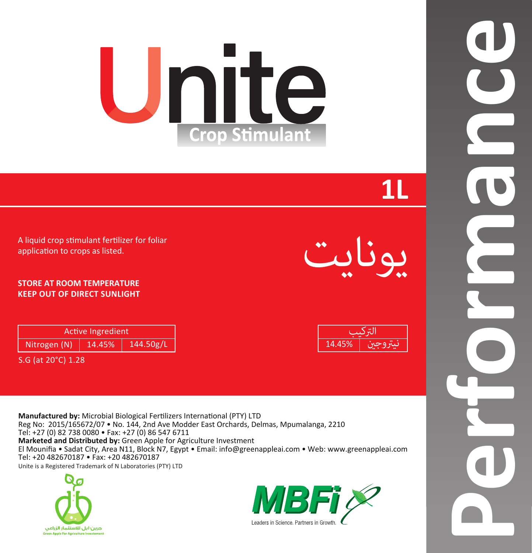# Unite **Crop Stimulant**

# **1L**

يونايت

14.45% التركيب نيتروج

A liquid crop stimulant fertilizer for foliar application to crops as listed.

## **STORE AT ROOM TEMPERATURE KEEP OUT OF DIRECT SUNLIGHT**

| <b>Active Ingredient</b> |        |           |  |  |
|--------------------------|--------|-----------|--|--|
| Nitrogen (N)             | 14.45% | 144.50g/L |  |  |

S.G (at 20°C) 1.28

**Manufactured by:** Microbial Biological Fertilizers International (PTY) LTD Reg No: 2015/165672/07 • No. 144, 2nd Ave Modder East Orchards, Delmas, Mpumalanga, 2210 Tel: +27 (0) 82 738 0080 • Fax: +27 (0) 86 547 6711

**Marketed and Distributed by:** Green Apple for Agriculture Investment El Mounifia • Sadat City, Area N11, Block N7, Egypt • Email: info@greenappleai.com • Web: www.greenappleai.com Tel: +20 482670187 • Fax: +20 482670187

Unite is a Registered Trademark of N Laboratories (PTY) LTD